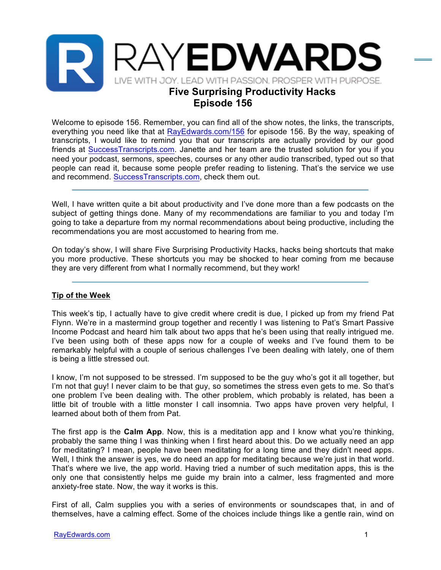

Welcome to episode 156. Remember, you can find all of the show notes, the links, the transcripts, everything you need like that at RayEdwards.com/156 for episode 156. By the way, speaking of transcripts, I would like to remind you that our transcripts are actually provided by our good friends at SuccessTranscripts.com. Janette and her team are the trusted solution for you if you need your podcast, sermons, speeches, courses or any other audio transcribed, typed out so that people can read it, because some people prefer reading to listening. That's the service we use and recommend. SuccessTranscripts.com, check them out.

Well, I have written quite a bit about productivity and I've done more than a few podcasts on the subject of getting things done. Many of my recommendations are familiar to you and today I'm going to take a departure from my normal recommendations about being productive, including the recommendations you are most accustomed to hearing from me.

On today's show, I will share Five Surprising Productivity Hacks, hacks being shortcuts that make you more productive. These shortcuts you may be shocked to hear coming from me because they are very different from what I normally recommend, but they work!

## **Tip of the Week**

This week's tip, I actually have to give credit where credit is due, I picked up from my friend Pat Flynn. We're in a mastermind group together and recently I was listening to Pat's Smart Passive Income Podcast and heard him talk about two apps that he's been using that really intrigued me. I've been using both of these apps now for a couple of weeks and I've found them to be remarkably helpful with a couple of serious challenges I've been dealing with lately, one of them is being a little stressed out.

I know, I'm not supposed to be stressed. I'm supposed to be the guy who's got it all together, but I'm not that guy! I never claim to be that guy, so sometimes the stress even gets to me. So that's one problem I've been dealing with. The other problem, which probably is related, has been a little bit of trouble with a little monster I call insomnia. Two apps have proven very helpful, I learned about both of them from Pat.

The first app is the **Calm App**. Now, this is a meditation app and I know what you're thinking, probably the same thing I was thinking when I first heard about this. Do we actually need an app for meditating? I mean, people have been meditating for a long time and they didn't need apps. Well, I think the answer is yes, we do need an app for meditating because we're just in that world. That's where we live, the app world. Having tried a number of such meditation apps, this is the only one that consistently helps me guide my brain into a calmer, less fragmented and more anxiety-free state. Now, the way it works is this.

First of all, Calm supplies you with a series of environments or soundscapes that, in and of themselves, have a calming effect. Some of the choices include things like a gentle rain, wind on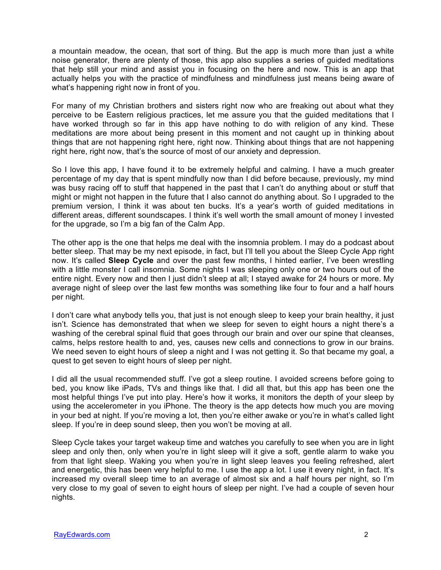a mountain meadow, the ocean, that sort of thing. But the app is much more than just a white noise generator, there are plenty of those, this app also supplies a series of guided meditations that help still your mind and assist you in focusing on the here and now. This is an app that actually helps you with the practice of mindfulness and mindfulness just means being aware of what's happening right now in front of you.

For many of my Christian brothers and sisters right now who are freaking out about what they perceive to be Eastern religious practices, let me assure you that the guided meditations that I have worked through so far in this app have nothing to do with religion of any kind. These meditations are more about being present in this moment and not caught up in thinking about things that are not happening right here, right now. Thinking about things that are not happening right here, right now, that's the source of most of our anxiety and depression.

So I love this app, I have found it to be extremely helpful and calming. I have a much greater percentage of my day that is spent mindfully now than I did before because, previously, my mind was busy racing off to stuff that happened in the past that I can't do anything about or stuff that might or might not happen in the future that I also cannot do anything about. So I upgraded to the premium version, I think it was about ten bucks. It's a year's worth of guided meditations in different areas, different soundscapes. I think it's well worth the small amount of money I invested for the upgrade, so I'm a big fan of the Calm App.

The other app is the one that helps me deal with the insomnia problem. I may do a podcast about better sleep. That may be my next episode, in fact, but I'll tell you about the Sleep Cycle App right now. It's called **Sleep Cycle** and over the past few months, I hinted earlier, I've been wrestling with a little monster I call insomnia. Some nights I was sleeping only one or two hours out of the entire night. Every now and then I just didn't sleep at all; I stayed awake for 24 hours or more. My average night of sleep over the last few months was something like four to four and a half hours per night.

I don't care what anybody tells you, that just is not enough sleep to keep your brain healthy, it just isn't. Science has demonstrated that when we sleep for seven to eight hours a night there's a washing of the cerebral spinal fluid that goes through our brain and over our spine that cleanses, calms, helps restore health to and, yes, causes new cells and connections to grow in our brains. We need seven to eight hours of sleep a night and I was not getting it. So that became my goal, a quest to get seven to eight hours of sleep per night.

I did all the usual recommended stuff. I've got a sleep routine. I avoided screens before going to bed, you know like iPads, TVs and things like that. I did all that, but this app has been one the most helpful things I've put into play. Here's how it works, it monitors the depth of your sleep by using the accelerometer in you iPhone. The theory is the app detects how much you are moving in your bed at night. If you're moving a lot, then you're either awake or you're in what's called light sleep. If you're in deep sound sleep, then you won't be moving at all.

Sleep Cycle takes your target wakeup time and watches you carefully to see when you are in light sleep and only then, only when you're in light sleep will it give a soft, gentle alarm to wake you from that light sleep. Waking you when you're in light sleep leaves you feeling refreshed, alert and energetic, this has been very helpful to me. I use the app a lot. I use it every night, in fact. It's increased my overall sleep time to an average of almost six and a half hours per night, so I'm very close to my goal of seven to eight hours of sleep per night. I've had a couple of seven hour nights.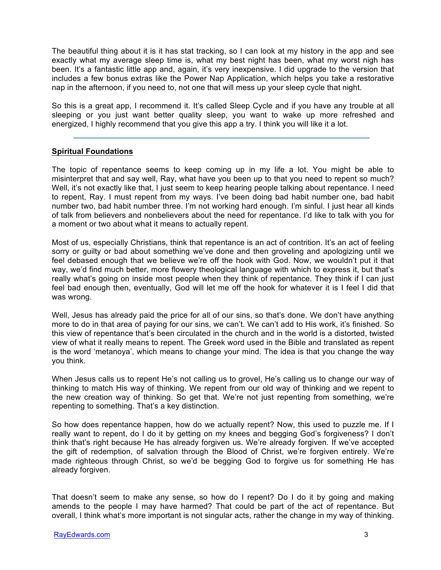The beautiful thing about it is it has stat tracking, so I can look at my history in the app and see exactly what my average sleep time is, what my best night has been, what my worst nigh has been. It's a fantastic little app and, again, it's very inexpensive. I did upgrade to the version that includes a few bonus extras like the Power Nap Application, which helps you take a restorative nap in the afternoon, if you need to, not one that will mess up your sleep cycle that night.

So this is a great app, I recommend it. It's called Sleep Cycle and if you have any trouble at all sleeping or you just want better quality sleep, you want to wake up more refreshed and energized, I highly recommend that you give this app a try. I think you will like it a lot.

## **Spiritual Foundations**

The topic of repentance seems to keep coming up in my life a lot. You might be able to misinterpret that and say well, Ray, what have you been up to that you need to repent so much? Well, it's not exactly like that, I just seem to keep hearing people talking about repentance. I need to repent, Ray. I must repent from my ways. I've been doing bad habit number one, bad habit number two, bad habit number three. I'm not working hard enough. I'm sinful. I just hear all kinds of talk from believers and nonbelievers about the need for repentance. I'd like to talk with you for a moment or two about what it means to actually repent.

Most of us, especially Christians, think that repentance is an act of contrition. It's an act of feeling sorry or guilty or bad about something we've done and then groveling and apologizing until we feel debased enough that we believe we're off the hook with God. Now, we wouldn't put it that way, we'd find much better, more flowery theological language with which to express it, but that's really what's going on inside most people when they think of repentance. They think if I can just feel bad enough then, eventually, God will let me off the hook for whatever it is I feel I did that was wrong.

Well, Jesus has already paid the price for all of our sins, so that's done. We don't have anything more to do in that area of paying for our sins, we can't. We can't add to His work, it's finished. So this view of repentance that's been circulated in the church and in the world is a distorted, twisted view of what it really means to repent. The Greek word used in the Bible and translated as repent is the word 'metanoya', which means to change your mind. The idea is that you change the way you think.

When Jesus calls us to repent He's not calling us to grovel, He's calling us to change our way of thinking to match His way of thinking. We repent from our old way of thinking and we repent to the new creation way of thinking. So get that. We're not just repenting from something, we're repenting to something. That's a key distinction.

So how does repentance happen, how do we actually repent? Now, this used to puzzle me. If I really want to repent, do I do it by getting on my knees and begging God's forgiveness? I don't think that's right because He has already forgiven us. We're already forgiven. If we've accepted the gift of redemption, of salvation through the Blood of Christ, we're forgiven entirely. We're made righteous through Christ, so we'd be begging God to forgive us for something He has already forgiven.

That doesn't seem to make any sense, so how do I repent? Do I do it by going and making amends to the people I may have harmed? That could be part of the act of repentance. But overall, I think what's more important is not singular acts, rather the change in my way of thinking.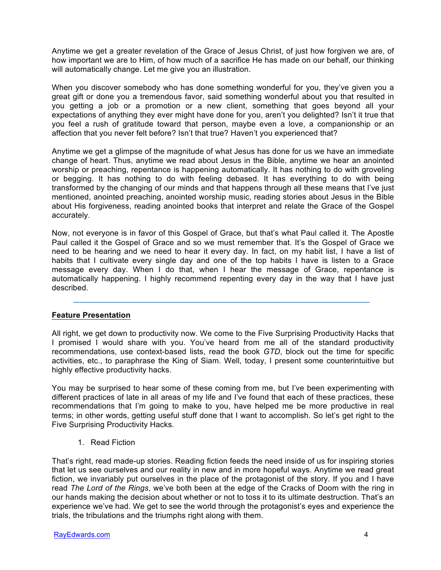Anytime we get a greater revelation of the Grace of Jesus Christ, of just how forgiven we are, of how important we are to Him, of how much of a sacrifice He has made on our behalf, our thinking will automatically change. Let me give you an illustration.

When you discover somebody who has done something wonderful for you, they've given you a great gift or done you a tremendous favor, said something wonderful about you that resulted in you getting a job or a promotion or a new client, something that goes beyond all your expectations of anything they ever might have done for you, aren't you delighted? Isn't it true that you feel a rush of gratitude toward that person, maybe even a love, a companionship or an affection that you never felt before? Isn't that true? Haven't you experienced that?

Anytime we get a glimpse of the magnitude of what Jesus has done for us we have an immediate change of heart. Thus, anytime we read about Jesus in the Bible, anytime we hear an anointed worship or preaching, repentance is happening automatically. It has nothing to do with groveling or begging. It has nothing to do with feeling debased. It has everything to do with being transformed by the changing of our minds and that happens through all these means that I've just mentioned, anointed preaching, anointed worship music, reading stories about Jesus in the Bible about His forgiveness, reading anointed books that interpret and relate the Grace of the Gospel accurately.

Now, not everyone is in favor of this Gospel of Grace, but that's what Paul called it. The Apostle Paul called it the Gospel of Grace and so we must remember that. It's the Gospel of Grace we need to be hearing and we need to hear it every day. In fact, on my habit list, I have a list of habits that I cultivate every single day and one of the top habits I have is listen to a Grace message every day. When I do that, when I hear the message of Grace, repentance is automatically happening. I highly recommend repenting every day in the way that I have just described.

## **Feature Presentation**

All right, we get down to productivity now. We come to the Five Surprising Productivity Hacks that I promised I would share with you. You've heard from me all of the standard productivity recommendations, use context-based lists, read the book *GTD*, block out the time for specific activities, etc., to paraphrase the King of Siam. Well, today, I present some counterintuitive but highly effective productivity hacks.

You may be surprised to hear some of these coming from me, but I've been experimenting with different practices of late in all areas of my life and I've found that each of these practices, these recommendations that I'm going to make to you, have helped me be more productive in real terms; in other words, getting useful stuff done that I want to accomplish. So let's get right to the Five Surprising Productivity Hacks.

1. Read Fiction

That's right, read made-up stories. Reading fiction feeds the need inside of us for inspiring stories that let us see ourselves and our reality in new and in more hopeful ways. Anytime we read great fiction, we invariably put ourselves in the place of the protagonist of the story. If you and I have read *The Lord of the Rings*, we've both been at the edge of the Cracks of Doom with the ring in our hands making the decision about whether or not to toss it to its ultimate destruction. That's an experience we've had. We get to see the world through the protagonist's eyes and experience the trials, the tribulations and the triumphs right along with them.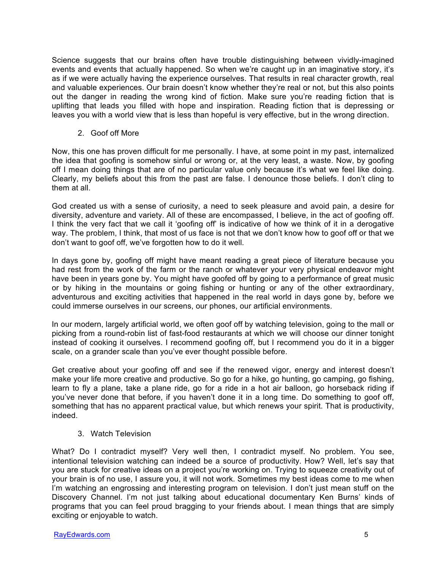Science suggests that our brains often have trouble distinguishing between vividly-imagined events and events that actually happened. So when we're caught up in an imaginative story, it's as if we were actually having the experience ourselves. That results in real character growth, real and valuable experiences. Our brain doesn't know whether they're real or not, but this also points out the danger in reading the wrong kind of fiction. Make sure you're reading fiction that is uplifting that leads you filled with hope and inspiration. Reading fiction that is depressing or leaves you with a world view that is less than hopeful is very effective, but in the wrong direction.

2. Goof off More

Now, this one has proven difficult for me personally. I have, at some point in my past, internalized the idea that goofing is somehow sinful or wrong or, at the very least, a waste. Now, by goofing off I mean doing things that are of no particular value only because it's what we feel like doing. Clearly, my beliefs about this from the past are false. I denounce those beliefs. I don't cling to them at all.

God created us with a sense of curiosity, a need to seek pleasure and avoid pain, a desire for diversity, adventure and variety. All of these are encompassed, I believe, in the act of goofing off. I think the very fact that we call it 'goofing off' is indicative of how we think of it in a derogative way. The problem, I think, that most of us face is not that we don't know how to goof off or that we don't want to goof off, we've forgotten how to do it well.

In days gone by, goofing off might have meant reading a great piece of literature because you had rest from the work of the farm or the ranch or whatever your very physical endeavor might have been in years gone by. You might have goofed off by going to a performance of great music or by hiking in the mountains or going fishing or hunting or any of the other extraordinary, adventurous and exciting activities that happened in the real world in days gone by, before we could immerse ourselves in our screens, our phones, our artificial environments.

In our modern, largely artificial world, we often goof off by watching television, going to the mall or picking from a round-robin list of fast-food restaurants at which we will choose our dinner tonight instead of cooking it ourselves. I recommend goofing off, but I recommend you do it in a bigger scale, on a grander scale than you've ever thought possible before.

Get creative about your goofing off and see if the renewed vigor, energy and interest doesn't make your life more creative and productive. So go for a hike, go hunting, go camping, go fishing, learn to fly a plane, take a plane ride, go for a ride in a hot air balloon, go horseback riding if you've never done that before, if you haven't done it in a long time. Do something to goof off, something that has no apparent practical value, but which renews your spirit. That is productivity, indeed.

3. Watch Television

What? Do I contradict myself? Very well then, I contradict myself. No problem. You see, intentional television watching can indeed be a source of productivity. How? Well, let's say that you are stuck for creative ideas on a project you're working on. Trying to squeeze creativity out of your brain is of no use, I assure you, it will not work. Sometimes my best ideas come to me when I'm watching an engrossing and interesting program on television. I don't iust mean stuff on the Discovery Channel. I'm not just talking about educational documentary Ken Burns' kinds of programs that you can feel proud bragging to your friends about. I mean things that are simply exciting or enjoyable to watch.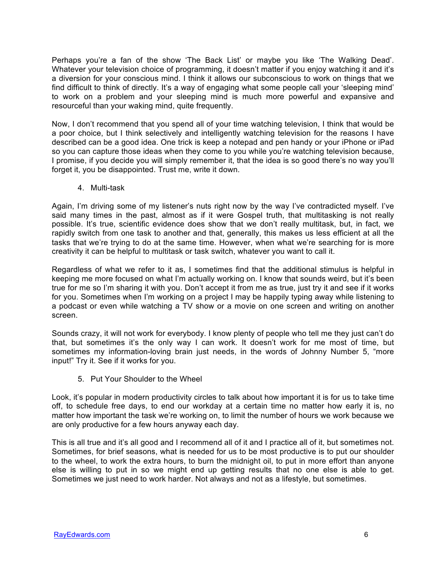Perhaps you're a fan of the show 'The Back List' or maybe you like 'The Walking Dead'. Whatever your television choice of programming, it doesn't matter if you enjoy watching it and it's a diversion for your conscious mind. I think it allows our subconscious to work on things that we find difficult to think of directly. It's a way of engaging what some people call your 'sleeping mind' to work on a problem and your sleeping mind is much more powerful and expansive and resourceful than your waking mind, quite frequently.

Now, I don't recommend that you spend all of your time watching television, I think that would be a poor choice, but I think selectively and intelligently watching television for the reasons I have described can be a good idea. One trick is keep a notepad and pen handy or your iPhone or iPad so you can capture those ideas when they come to you while you're watching television because, I promise, if you decide you will simply remember it, that the idea is so good there's no way you'll forget it, you be disappointed. Trust me, write it down.

4. Multi-task

Again, I'm driving some of my listener's nuts right now by the way I've contradicted myself. I've said many times in the past, almost as if it were Gospel truth, that multitasking is not really possible. It's true, scientific evidence does show that we don't really multitask, but, in fact, we rapidly switch from one task to another and that, generally, this makes us less efficient at all the tasks that we're trying to do at the same time. However, when what we're searching for is more creativity it can be helpful to multitask or task switch, whatever you want to call it.

Regardless of what we refer to it as, I sometimes find that the additional stimulus is helpful in keeping me more focused on what I'm actually working on. I know that sounds weird, but it's been true for me so I'm sharing it with you. Don't accept it from me as true, just try it and see if it works for you. Sometimes when I'm working on a project I may be happily typing away while listening to a podcast or even while watching a TV show or a movie on one screen and writing on another screen.

Sounds crazy, it will not work for everybody. I know plenty of people who tell me they just can't do that, but sometimes it's the only way I can work. It doesn't work for me most of time, but sometimes my information-loving brain just needs, in the words of Johnny Number 5, "more input!" Try it. See if it works for you.

5. Put Your Shoulder to the Wheel

Look, it's popular in modern productivity circles to talk about how important it is for us to take time off, to schedule free days, to end our workday at a certain time no matter how early it is, no matter how important the task we're working on, to limit the number of hours we work because we are only productive for a few hours anyway each day.

This is all true and it's all good and I recommend all of it and I practice all of it, but sometimes not. Sometimes, for brief seasons, what is needed for us to be most productive is to put our shoulder to the wheel, to work the extra hours, to burn the midnight oil, to put in more effort than anyone else is willing to put in so we might end up getting results that no one else is able to get. Sometimes we just need to work harder. Not always and not as a lifestyle, but sometimes.